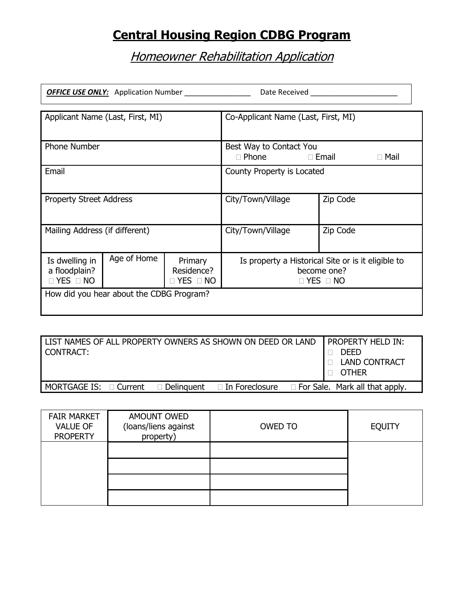## **Central Housing Region CDBG Program**

## **Homeowner Rehabilitation Application**

 $\overline{1}$ 

| Date Received <b>Exercise Services</b><br><b>OFFICE USE ONLY:</b> Application Number                                    |                                          |  |                                                                                           |          |  |
|-------------------------------------------------------------------------------------------------------------------------|------------------------------------------|--|-------------------------------------------------------------------------------------------|----------|--|
| Applicant Name (Last, First, MI)                                                                                        |                                          |  | Co-Applicant Name (Last, First, MI)                                                       |          |  |
| Phone Number                                                                                                            |                                          |  | Best Way to Contact You<br>$\Box$ Phone<br>$\square$ Email<br>$\Box$ Mail                 |          |  |
| Email                                                                                                                   |                                          |  | County Property is Located                                                                |          |  |
| <b>Property Street Address</b>                                                                                          |                                          |  | City/Town/Village                                                                         | Zip Code |  |
| Mailing Address (if different)                                                                                          |                                          |  | City/Town/Village                                                                         | Zip Code |  |
| Age of Home<br>Is dwelling in<br>Primary<br>a floodplain?<br>Residence?<br>$\Box$ YES $\Box$ NO<br>$\Box$ YES $\Box$ NO |                                          |  | Is property a Historical Site or is it eligible to<br>become one?<br>$\Box$ YES $\Box$ NO |          |  |
|                                                                                                                         | How did you hear about the CDBG Program? |  |                                                                                           |          |  |

| CONTRACT:                   |  | LIST NAMES OF ALL PROPERTY OWNERS AS SHOWN ON DEED OR LAND | <b>I PROPERTY HELD IN:</b><br><b>DEED</b><br><b>LAND CONTRACT</b><br><b>OTHER</b> |
|-----------------------------|--|------------------------------------------------------------|-----------------------------------------------------------------------------------|
| MORTGAGE IS: $\Box$ Current |  | $\Box$ Delinguent $\Box$ In Foreclosure                    | $\Box$ For Sale. Mark all that apply.                                             |

| <b>FAIR MARKET</b><br><b>VALUE OF</b><br><b>PROPERTY</b> | AMOUNT OWED<br>(loans/liens against<br>property) | OWED TO | <b>EQUITY</b> |
|----------------------------------------------------------|--------------------------------------------------|---------|---------------|
|                                                          |                                                  |         |               |
|                                                          |                                                  |         |               |
|                                                          |                                                  |         |               |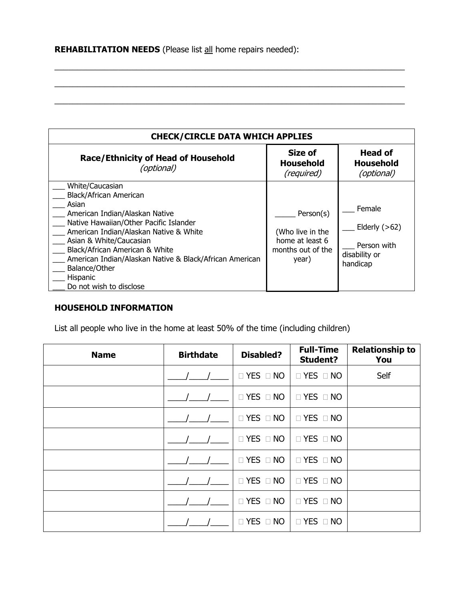| <b>CHECK/CIRCLE DATA WHICH APPLIES</b>                                                                                                                                                                                                                                                                                                                   |                                                                                |                                                                       |  |  |
|----------------------------------------------------------------------------------------------------------------------------------------------------------------------------------------------------------------------------------------------------------------------------------------------------------------------------------------------------------|--------------------------------------------------------------------------------|-----------------------------------------------------------------------|--|--|
| <b>Race/Ethnicity of Head of Household</b><br>(optional)                                                                                                                                                                                                                                                                                                 | Size of<br><b>Household</b><br>(required)                                      | <b>Head of</b><br><b>Household</b><br>(optional)                      |  |  |
| White/Caucasian<br>Black/African American<br>Asian<br>American Indian/Alaskan Native<br>Native Hawaiian/Other Pacific Islander<br>American Indian/Alaskan Native & White<br>Asian & White/Caucasian<br>Black/African American & White<br>American Indian/Alaskan Native & Black/African American<br>Balance/Other<br>Hispanic<br>Do not wish to disclose | Person(s)<br>(Who live in the<br>home at least 6<br>months out of the<br>year) | Female<br>Elderly $(>62)$<br>Person with<br>disability or<br>handicap |  |  |

\_\_\_\_\_\_\_\_\_\_\_\_\_\_\_\_\_\_\_\_\_\_\_\_\_\_\_\_\_\_\_\_\_\_\_\_\_\_\_\_\_\_\_\_\_\_\_\_\_\_\_\_\_\_\_\_\_\_\_\_\_\_\_\_\_\_\_\_\_\_\_\_\_\_\_\_\_

 $\_$  , and the set of the set of the set of the set of the set of the set of the set of the set of the set of the set of the set of the set of the set of the set of the set of the set of the set of the set of the set of th

\_\_\_\_\_\_\_\_\_\_\_\_\_\_\_\_\_\_\_\_\_\_\_\_\_\_\_\_\_\_\_\_\_\_\_\_\_\_\_\_\_\_\_\_\_\_\_\_\_\_\_\_\_\_\_\_\_\_\_\_\_\_\_\_\_\_\_\_\_\_\_\_\_\_\_\_\_

#### **HOUSEHOLD INFORMATION**

List all people who live in the home at least 50% of the time (including children)

| <b>Name</b> | <b>Birthdate</b> | <b>Disabled?</b>     | <b>Full-Time</b><br><b>Student?</b> | <b>Relationship to</b><br>You |
|-------------|------------------|----------------------|-------------------------------------|-------------------------------|
|             |                  | YES D NO<br>П        | $\Box$ YES $\Box$ NO                | Self                          |
|             |                  | $\Box$ YES $\Box$ NO | $\Box$ YES $\Box$ NO                |                               |
|             |                  | $\Box$ YES $\Box$ NO | $\Box$ YES $\Box$ NO                |                               |
|             |                  | $\Box$ YES $\Box$ NO | $\Box$ YES $\Box$ NO                |                               |
|             |                  | $\Box$ YES $\Box$ NO | $\Box$ YES $\Box$ NO                |                               |
|             |                  | □ YES □ NO           | $\Box$ YES $\Box$ NO                |                               |
|             |                  | YES D NO<br>П        | $\Box$ YES $\Box$ NO                |                               |
|             |                  | YES <sup>I</sup> NO  | $\Box$ YES $\Box$ NO                |                               |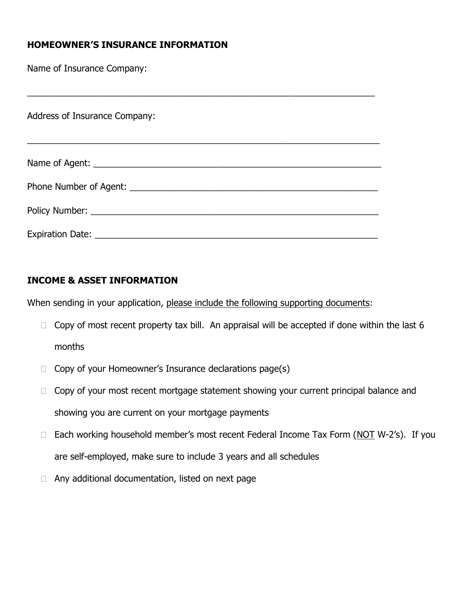## **HOMEOWNER'S INSURANCE INFORMATION**

Name of Insurance Company:

Address of Insurance Company:

| <b>Expiration Date:</b> |  |  |
|-------------------------|--|--|

\_\_\_\_\_\_\_\_\_\_\_\_\_\_\_\_\_\_\_\_\_\_\_\_\_\_\_\_\_\_\_\_\_\_\_\_\_\_\_\_\_\_\_\_\_\_\_\_\_\_\_\_\_\_\_\_\_\_\_\_\_\_\_\_\_\_\_\_\_\_

## **INCOME & ASSET INFORMATION**

When sending in your application, please include the following supporting documents:

- $\Box$  Copy of most recent property tax bill. An appraisal will be accepted if done within the last 6 months
- $\Box$  Copy of your Homeowner's Insurance declarations page(s)
- $\Box$  Copy of your most recent mortgage statement showing your current principal balance and showing you are current on your mortgage payments
- $\Box$  Each working household member's most recent Federal Income Tax Form (NOT W-2's). If you are self-employed, make sure to include 3 years and all schedules
- $\Box$  Any additional documentation, listed on next page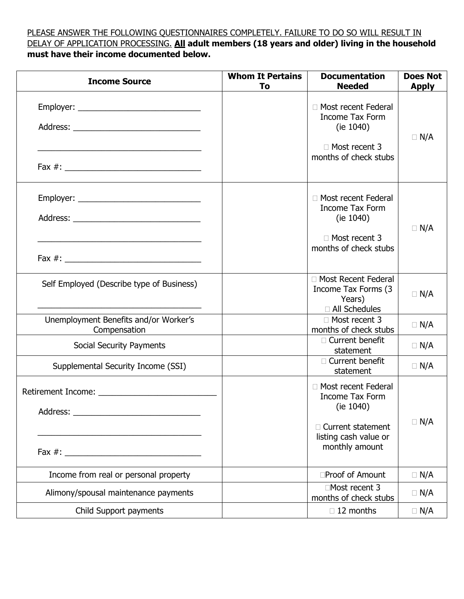#### PLEASE ANSWER THE FOLLOWING QUESTIONNAIRES COMPLETELY. FAILURE TO DO SO WILL RESULT IN DELAY OF APPLICATION PROCESSING. **All adult members (18 years and older) living in the household must have their income documented below.**

| <b>Income Source</b>                                  | <b>Whom It Pertains</b><br>To | <b>Documentation</b><br><b>Needed</b>                                                                                             | <b>Does Not</b><br><b>Apply</b> |
|-------------------------------------------------------|-------------------------------|-----------------------------------------------------------------------------------------------------------------------------------|---------------------------------|
|                                                       |                               | □ Most recent Federal<br><b>Income Tax Form</b><br>(ie 1040)<br>□ Most recent 3<br>months of check stubs                          | $\Box$ N/A                      |
|                                                       |                               | □ Most recent Federal<br><b>Income Tax Form</b><br>(ie 1040)<br>□ Most recent 3<br>months of check stubs                          | $\Box$ N/A                      |
| Self Employed (Describe type of Business)             |                               | □ Most Recent Federal<br>Income Tax Forms (3<br>Years)<br>□ All Schedules                                                         | $\Box$ N/A                      |
| Unemployment Benefits and/or Worker's<br>Compensation |                               | $\Box$ Most recent 3<br>months of check stubs                                                                                     | $\Box$ N/A                      |
| Social Security Payments                              |                               | □ Current benefit<br>statement                                                                                                    | $\Box$ N/A                      |
| Supplemental Security Income (SSI)                    |                               | □ Current benefit<br>statement                                                                                                    | $\Box$ N/A                      |
|                                                       |                               | □ Most recent Federal<br><b>Income Tax Form</b><br>(ie $1040$ )<br>□ Current statement<br>listing cash value or<br>monthly amount | $\Box$ N/A                      |
| Income from real or personal property                 |                               | □Proof of Amount                                                                                                                  | $\Box$ N/A                      |
| Alimony/spousal maintenance payments                  |                               | □Most recent 3<br>months of check stubs                                                                                           | $\Box$ N/A                      |
| Child Support payments                                |                               | $\Box$ 12 months                                                                                                                  | $\Box$ N/A                      |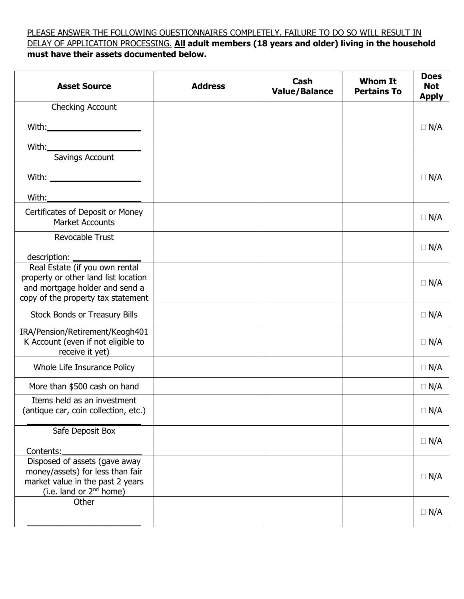### PLEASE ANSWER THE FOLLOWING QUESTIONNAIRES COMPLETELY. FAILURE TO DO SO WILL RESULT IN DELAY OF APPLICATION PROCESSING. **All adult members (18 years and older) living in the household must have their assets documented below.**

| <b>Asset Source</b>                                                                                                                            | <b>Address</b> | Cash<br><b>Value/Balance</b> | <b>Whom It</b><br><b>Pertains To</b> | <b>Does</b><br><b>Not</b><br><b>Apply</b> |
|------------------------------------------------------------------------------------------------------------------------------------------------|----------------|------------------------------|--------------------------------------|-------------------------------------------|
| Checking Account                                                                                                                               |                |                              |                                      |                                           |
|                                                                                                                                                |                |                              |                                      | $\Box$ N/A                                |
| With:_                                                                                                                                         |                |                              |                                      |                                           |
| Savings Account                                                                                                                                |                |                              |                                      |                                           |
| With: $\qquad \qquad$                                                                                                                          |                |                              |                                      | $\Box$ N/A                                |
| With:____ <del>__________________</del>                                                                                                        |                |                              |                                      |                                           |
| Certificates of Deposit or Money<br><b>Market Accounts</b>                                                                                     |                |                              |                                      | $\Box$ N/A                                |
| Revocable Trust                                                                                                                                |                |                              |                                      | $\Box$ N/A                                |
| description:                                                                                                                                   |                |                              |                                      |                                           |
| Real Estate (if you own rental<br>property or other land list location<br>and mortgage holder and send a<br>copy of the property tax statement |                |                              |                                      | $\Box$ N/A                                |
| <b>Stock Bonds or Treasury Bills</b>                                                                                                           |                |                              |                                      | $\Box$ N/A                                |
| IRA/Pension/Retirement/Keogh401<br>K Account (even if not eligible to<br>receive it yet)                                                       |                |                              |                                      | $\Box$ N/A                                |
| Whole Life Insurance Policy                                                                                                                    |                |                              |                                      | $\Box$ N/A                                |
| More than \$500 cash on hand                                                                                                                   |                |                              |                                      | $\Box$ N/A                                |
| Items held as an investment<br>(antique car, coin collection, etc.)                                                                            |                |                              |                                      | $\Box$ N/A                                |
| Safe Deposit Box                                                                                                                               |                |                              |                                      |                                           |
| Contents:                                                                                                                                      |                |                              |                                      | $\Box$ N/A                                |
| Disposed of assets (gave away<br>money/assets) for less than fair<br>market value in the past 2 years<br>(i.e. land or 2 <sup>nd</sup> home)   |                |                              |                                      | $\Box$ N/A                                |
| Other                                                                                                                                          |                |                              |                                      |                                           |
|                                                                                                                                                |                |                              |                                      | $\Box$ N/A                                |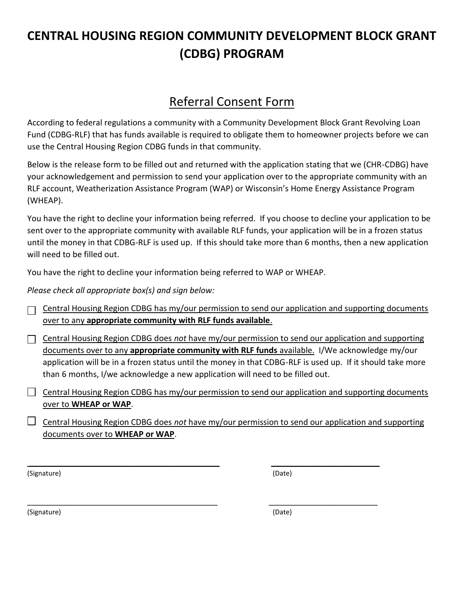# **CENTRAL HOUSING REGION COMMUNITY DEVELOPMENT BLOCK GRANT (CDBG) PROGRAM**

## Referral Consent Form

According to federal regulations a community with a Community Development Block Grant Revolving Loan Fund (CDBG-RLF) that has funds available is required to obligate them to homeowner projects before we can use the Central Housing Region CDBG funds in that community.

Below is the release form to be filled out and returned with the application stating that we (CHR-CDBG) have your acknowledgement and permission to send your application over to the appropriate community with an RLF account, Weatherization Assistance Program (WAP) or Wisconsin's Home Energy Assistance Program (WHEAP).

You have the right to decline your information being referred. If you choose to decline your application to be sent over to the appropriate community with available RLF funds, your application will be in a frozen status until the money in that CDBG-RLF is used up. If this should take more than 6 months, then a new application will need to be filled out.

You have the right to decline your information being referred to WAP or WHEAP.

*Please check all appropriate box(s) and sign below:*

Central Housing Region CDBG has my/our permission to send our application and supporting documents  $\Box$ over to any **appropriate community with RLF funds available**.

Central Housing Region CDBG does *not* have my/our permission to send our application and supporting documents over to any **appropriate community with RLF funds** available. I/We acknowledge my/our application will be in a frozen status until the money in that CDBG-RLF is used up. If it should take more than 6 months, I/we acknowledge a new application will need to be filled out.

 $\Box$  Central Housing Region CDBG has my/our permission to send our application and supporting documents over to **WHEAP or WAP**.

Central Housing Region CDBG does *not* have my/our permission to send our application and supporting documents over to **WHEAP or WAP**.

 $\overline{\phantom{a}}$  , and the contract of the contract of the contract of the contract of the contract of the contract of the contract of the contract of the contract of the contract of the contract of the contract of the contrac

 $\overline{\phantom{a}}$  , and the contract of the contract of the contract of the contract of the contract of the contract of the contract of the contract of the contract of the contract of the contract of the contract of the contrac

(Signature) (Date)

(Signature) (Date)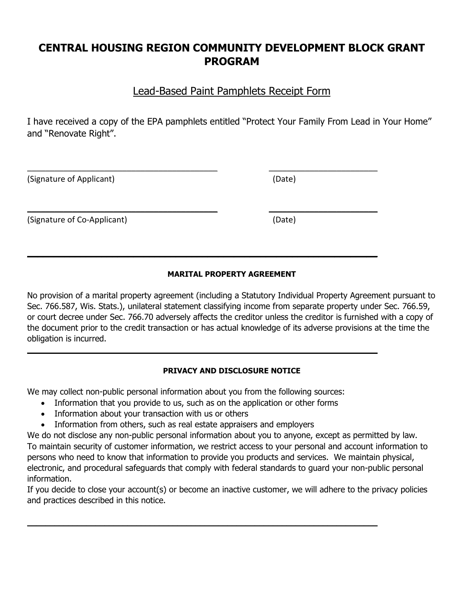## **CENTRAL HOUSING REGION COMMUNITY DEVELOPMENT BLOCK GRANT PROGRAM**

## Lead-Based Paint Pamphlets Receipt Form

I have received a copy of the EPA pamphlets entitled "Protect Your Family From Lead in Your Home" and "Renovate Right".

 $\overline{\phantom{a}}$  , and the contract of the contract of the contract of the contract of the contract of the contract of the contract of the contract of the contract of the contract of the contract of the contract of the contrac

 $\overline{\phantom{a}}$  , and the contract of the contract of the contract of the contract of the contract of the contract of the contract of the contract of the contract of the contract of the contract of the contract of the contrac

 $\mathcal{L}_\mathcal{L} = \mathcal{L}_\mathcal{L} - \mathcal{L}_\mathcal{L}$  , where  $\mathcal{L}_\mathcal{L} = \mathcal{L}_\mathcal{L}$  ,  $\mathcal{L}_\mathcal{L} = \mathcal{L}_\mathcal{L} - \mathcal{L}_\mathcal{L}$  ,  $\mathcal{L}_\mathcal{L} = \mathcal{L}_\mathcal{L} - \mathcal{L}_\mathcal{L}$ 

 $\mathcal{L} = \{ \mathcal{L} \mid \mathcal{L} \in \mathcal{L} \}$  , where  $\mathcal{L} = \{ \mathcal{L} \mid \mathcal{L} \in \mathcal{L} \}$ 

(Signature of Applicant) (Date)

(Signature of Co-Applicant) (Date)

#### **MARITAL PROPERTY AGREEMENT**

No provision of a marital property agreement (including a Statutory Individual Property Agreement pursuant to Sec. 766.587, Wis. Stats.), unilateral statement classifying income from separate property under Sec. 766.59, or court decree under Sec. 766.70 adversely affects the creditor unless the creditor is furnished with a copy of the document prior to the credit transaction or has actual knowledge of its adverse provisions at the time the obligation is incurred.

#### **PRIVACY AND DISCLOSURE NOTICE**

We may collect non-public personal information about you from the following sources:

- Information that you provide to us, such as on the application or other forms
- Information about your transaction with us or others
- Information from others, such as real estate appraisers and employers

We do not disclose any non-public personal information about you to anyone, except as permitted by law. To maintain security of customer information, we restrict access to your personal and account information to persons who need to know that information to provide you products and services. We maintain physical, electronic, and procedural safeguards that comply with federal standards to guard your non-public personal information.

If you decide to close your account(s) or become an inactive customer, we will adhere to the privacy policies and practices described in this notice.

 $\mathcal{L}_\mathcal{L} = \mathcal{L}_\mathcal{L} = \mathcal{L}_\mathcal{L} = \mathcal{L}_\mathcal{L} = \mathcal{L}_\mathcal{L} = \mathcal{L}_\mathcal{L} = \mathcal{L}_\mathcal{L} = \mathcal{L}_\mathcal{L} = \mathcal{L}_\mathcal{L} = \mathcal{L}_\mathcal{L} = \mathcal{L}_\mathcal{L} = \mathcal{L}_\mathcal{L} = \mathcal{L}_\mathcal{L} = \mathcal{L}_\mathcal{L} = \mathcal{L}_\mathcal{L} = \mathcal{L}_\mathcal{L} = \mathcal{L}_\mathcal{L}$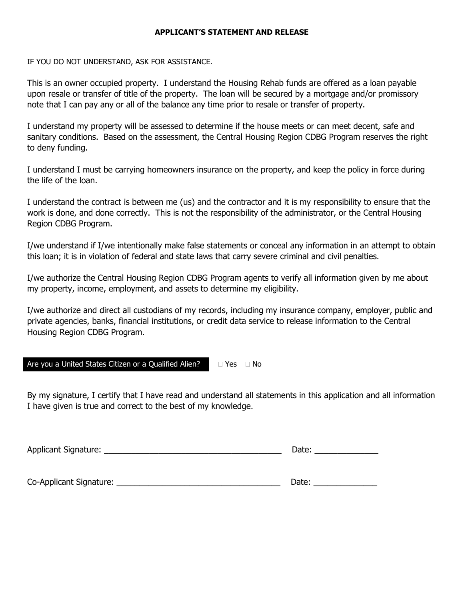#### **APPLICANT'S STATEMENT AND RELEASE**

IF YOU DO NOT UNDERSTAND, ASK FOR ASSISTANCE.

This is an owner occupied property. I understand the Housing Rehab funds are offered as a loan payable upon resale or transfer of title of the property. The loan will be secured by a mortgage and/or promissory note that I can pay any or all of the balance any time prior to resale or transfer of property.

I understand my property will be assessed to determine if the house meets or can meet decent, safe and sanitary conditions. Based on the assessment, the Central Housing Region CDBG Program reserves the right to deny funding.

I understand I must be carrying homeowners insurance on the property, and keep the policy in force during the life of the loan.

I understand the contract is between me (us) and the contractor and it is my responsibility to ensure that the work is done, and done correctly. This is not the responsibility of the administrator, or the Central Housing Region CDBG Program.

I/we understand if I/we intentionally make false statements or conceal any information in an attempt to obtain this loan; it is in violation of federal and state laws that carry severe criminal and civil penalties.

I/we authorize the Central Housing Region CDBG Program agents to verify all information given by me about my property, income, employment, and assets to determine my eligibility.

I/we authorize and direct all custodians of my records, including my insurance company, employer, public and private agencies, banks, financial institutions, or credit data service to release information to the Central Housing Region CDBG Program.

Are you a United States Citizen or a Qualified Alien?  $\Box$  Yes  $\Box$  No

By my signature, I certify that I have read and understand all statements in this application and all information I have given is true and correct to the best of my knowledge.

Applicant Signature: \_\_\_\_\_\_\_\_\_\_\_\_\_\_\_\_\_\_\_\_\_\_\_\_\_\_\_\_\_\_\_\_\_\_\_\_\_\_\_ Date: \_\_\_\_\_\_\_\_\_\_\_\_\_\_ Co-Applicant Signature: \_\_\_\_\_\_\_\_\_\_\_\_\_\_\_\_\_\_\_\_\_\_\_\_\_\_\_\_\_\_\_\_\_\_\_\_ Date: \_\_\_\_\_\_\_\_\_\_\_\_\_\_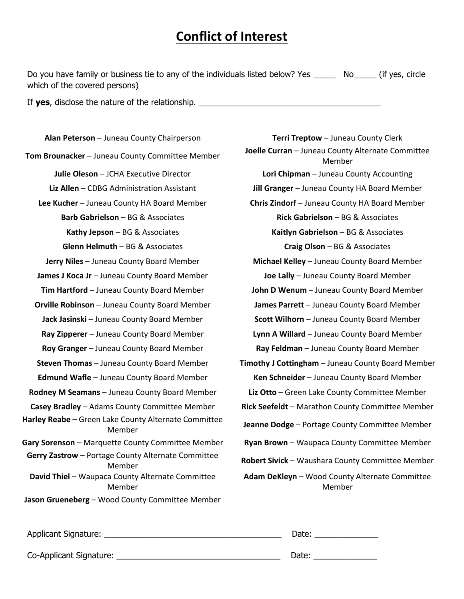## **Conflict of Interest**

Do you have family or business tie to any of the individuals listed below? Yes \_\_\_\_\_ No\_\_\_\_\_ (if yes, circle which of the covered persons)

If **yes**, disclose the nature of the relationship.

**Tom Brounacker** – Juneau County Committee Member **Joelle Curran** – Juneau County Alternate Committee **Barb Gabrielson** – BG & Associates **Rick Gabrielson** – BG & Associates **Glenn Helmuth** – BG & Associates **Craig Olson** – BG & Associates **James J Koca Jr** – Juneau County Board Member **Joe Lally** – Juneau County Board Member **Orville Robinson** – Juneau County Board Member **James Parrett** – Juneau County Board Member **Roy Granger** – Juneau County Board Member **Ray Feldman** – Juneau County Board Member **Edmund Wafle** – Juneau County Board Member **Ken Schneider** – Juneau County Board Member **Rodney M Seamans** – Juneau County Board Member **Liz Otto** – Green Lake County Committee Member **Harley Reabe** – Green Lake County Alternate Committee **Gary Sorenson** – Marquette County Committee Member **Ryan Brown** – Waupaca County Committee Member **Gerry Zastrow** – Portage County Alternate Committee **David Thiel** – Waupaca County Alternate Committee Member **Jason Grueneberg** – Wood County Committee Member

**Alan Peterson** – Juneau County Chairperson **Terri Treptow** – Juneau County Clerk Member **Julie Oleson** – JCHA Executive Director **Lori Chipman** – Juneau County Accounting **Liz Allen** – CDBG Administration Assistant **Jill Granger** – Juneau County HA Board Member **Lee Kucher** – Juneau County HA Board Member **Chris Zindorf** – Juneau County HA Board Member **Kathy Jepson** – BG & Associates **Kaitlyn Gabrielson** – BG & Associates **Jerry Niles** – Juneau County Board Member **Michael Kelley** – Juneau County Board Member **Tim Hartford** – Juneau County Board Member **John D Wenum** – Juneau County Board Member **Jack Jasinski** – Juneau County Board Member **Scott Wilhorn** – Juneau County Board Member **Ray Zipperer** – Juneau County Board Member **Lynn A Willard** – Juneau County Board Member **Steven Thomas** – Juneau County Board Member **Timothy J Cottingham** – Juneau County Board Member **Casey Bradley** – Adams County Committee Member **Rick Seefeldt** – Marathon County Committee Member Member **Jeanne Dodge** – Portage County Committee Member Member **Robert Sivick** – Waushara County Committee Member **Adam DeKleyn** – Wood County Alternate Committee Member

| Applicant Signature:    | Date: |
|-------------------------|-------|
| Co-Applicant Signature: | Date: |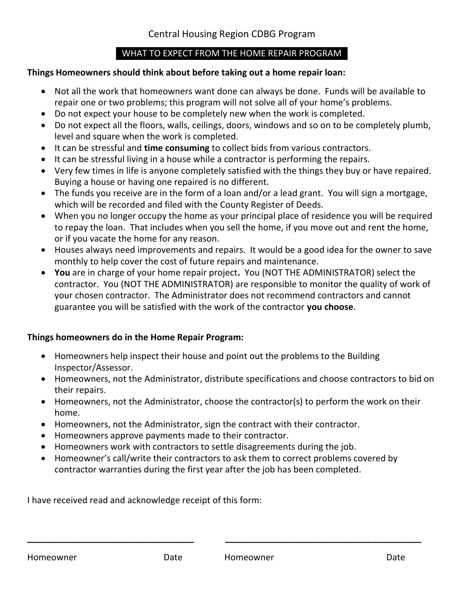### WHAT TO EXPECT FROM THE HOME REPAIR PROGRAM

### **Things Homeowners should think about before taking out a home repair loan:**

- Not all the work that homeowners want done can always be done. Funds will be available to repair one or two problems; this program will not solve all of your home's problems.
- Do not expect your house to be completely new when the work is completed.
- Do not expect all the floors, walls, ceilings, doors, windows and so on to be completely plumb, level and square when the work is completed.
- It can be stressful and **time consuming** to collect bids from various contractors.
- It can be stressful living in a house while a contractor is performing the repairs.
- Very few times in life is anyone completely satisfied with the things they buy or have repaired. Buying a house or having one repaired is no different.
- The funds you receive are in the form of a loan and/or a lead grant. You will sign a mortgage, which will be recorded and filed with the County Register of Deeds.
- When you no longer occupy the home as your principal place of residence you will be required to repay the loan. That includes when you sell the home, if you move out and rent the home, or if you vacate the home for any reason.
- Houses always need improvements and repairs. It would be a good idea for the owner to save monthly to help cover the cost of future repairs and maintenance.
- **You** are in charge of your home repair project**.** You (NOT THE ADMINISTRATOR) select the contractor. You (NOT THE ADMINISTRATOR) are responsible to monitor the quality of work of your chosen contractor. The Administrator does not recommend contractors and cannot guarantee you will be satisfied with the work of the contractor **you choose**.

## **Things homeowners do in the Home Repair Program:**

- Homeowners help inspect their house and point out the problems to the Building Inspector/Assessor.
- Homeowners, not the Administrator, distribute specifications and choose contractors to bid on their repairs.
- Homeowners, not the Administrator, choose the contractor(s) to perform the work on their home.
- Homeowners, not the Administrator, sign the contract with their contractor.
- Homeowners approve payments made to their contractor.
- Homeowners work with contractors to settle disagreements during the job.
- Homeowner's call/write their contractors to ask them to correct problems covered by contractor warranties during the first year after the job has been completed.

**\_\_\_\_\_\_\_\_\_\_\_\_\_\_\_\_\_\_\_\_\_\_\_\_\_\_\_\_\_\_\_\_\_\_ \_\_\_\_\_\_\_\_\_\_\_\_\_\_\_\_\_\_\_\_\_\_\_\_\_\_\_\_\_\_\_\_\_\_\_\_\_\_\_\_**

I have received read and acknowledge receipt of this form: